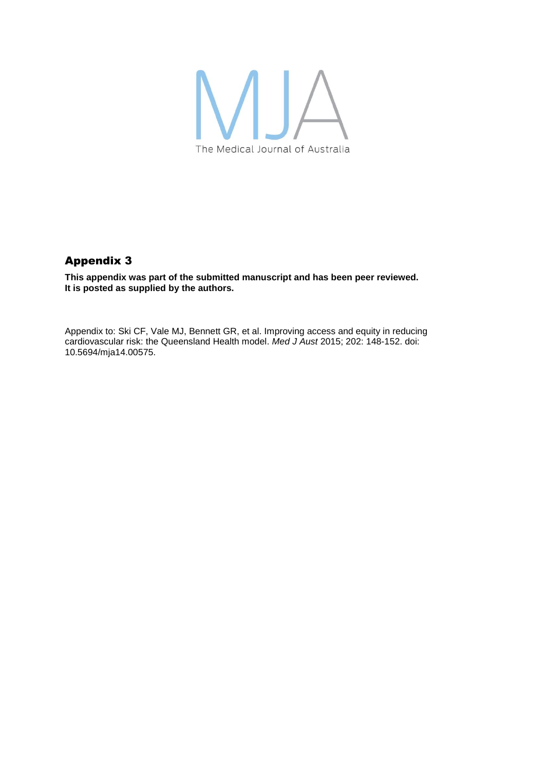

## Appendix 3

**This appendix was part of the submitted manuscript and has been peer reviewed. It is posted as supplied by the authors.**

Appendix to: Ski CF, Vale MJ, Bennett GR, et al. Improving access and equity in reducing cardiovascular risk: the Queensland Health model. *Med J Aust* 2015; 202: 148-152. doi: 10.5694/mja14.00575.